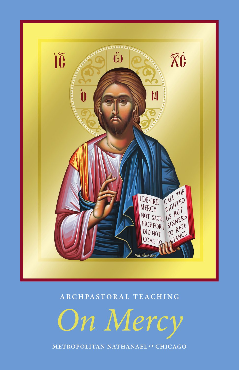

### **ARCHPASTORAL TEACHING**

*On Mercy*

**METROPOLITAN NATHANAEL OF CHICAGO**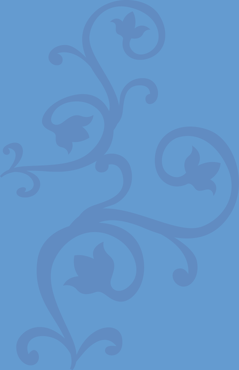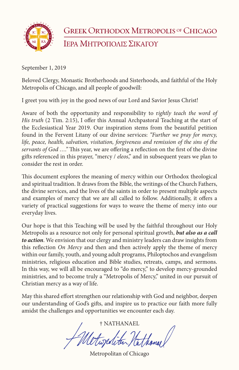

September 1, 2019

Beloved Clergy, Monastic Brotherhoods and Sisterhoods, and faithful of the Holy Metropolis of Chicago, and all people of goodwill:

I greet you with joy in the good news of our Lord and Savior Jesus Christ!

Aware of both the opportunity and responsibility to r*ightly teach the word of His truth* (2 Tim. 2:15), I offer this Annual Archpastoral Teaching at the start of the Ecclesiastical Year 2019. Our inspiration stems from the beautiful petition found in the Fervent Litany of our divine services: *"Further we pray for mercy, life, peace, health, salvation, visitation, forgiveness and remission of the sins of the servants of God …."* This year, we are offering a reflection on the first of the divine gifts referenced in this prayer, "mercy / *eleos*," and in subsequent years we plan to consider the rest in order.

This document explores the meaning of mercy within our Orthodox theological and spiritual tradition. It draws from the Bible, the writings of the Church Fathers, the divine services, and the lives of the saints in order to present multiple aspects and examples of mercy that we are all called to follow. Additionally, it offers a variety of practical suggestions for ways to weave the theme of mercy into our everyday lives.

Our hope is that this Teaching will be used by the faithful throughout our Holy Metropolis as a resource not only for personal spiritual growth, *but also as a call to action*. We envision that our clergy and ministry leaders can draw insights from this reflection *On Mercy* and then and then actively apply the theme of mercy within our family, youth, and young adult programs, Philoptochos and evangelism ministries, religious education and Bible studies, retreats, camps, and sermons. In this way, we will all be encouraged to "do mercy," to develop mercy-grounded ministries, and to become truly a "Metropolis of Mercy," united in our pursuit of Christian mercy as a way of life.

May this shared effort strengthen our relationship with God and neighbor, deepen our understanding of God's gifts, and inspire us to practice our faith more fully amidst the challenges and opportunities we encounter each day.

† NATHANAEL

Metropolitan of Chicago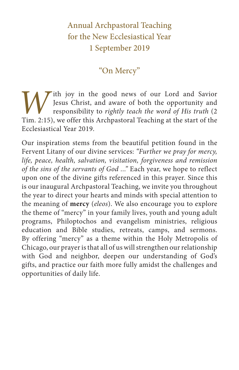Annual Archpastoral Teaching for the New Ecclesiastical Year 1 September 2019

## "On Mercy"

*W* Jesus Christ, and aware of both the opportunity and responsibility to *rightly teach the word of His truth* (2 Tim. 2:15), we offer this Archpastoral Teaching at the start of the Jesus Christ, and aware of both the opportunity and responsibility to *rightly teach the word of His truth* (2 Tim. 2:15), we offer this Archpastoral Teaching at the start of the Ecclesiastical Year 2019.

Our inspiration stems from the beautiful petition found in the Fervent Litany of our divine services: *"Further we pray for mercy, life, peace, health, salvation, visitation, forgiveness and remission of the sins of the servants of God ..."* Each year, we hope to reflect upon one of the divine gifts referenced in this prayer. Since this is our inaugural Archpastoral Teaching, we invite you throughout the year to direct your hearts and minds with special attention to the meaning of **mercy** (*eleos*). We also encourage you to explore the theme of "mercy" in your family lives, youth and young adult programs, Philoptochos and evangelism ministries, religious education and Bible studies, retreats, camps, and sermons. By offering "mercy" as a theme within the Holy Metropolis of Chicago, our prayer is that all of us will strengthen our relationship with God and neighbor, deepen our understanding of God's gifts, and practice our faith more fully amidst the challenges and opportunities of daily life.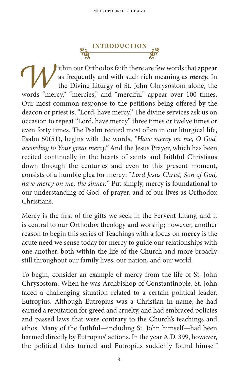

**While the State of the State of the Divine Liturgy of St. John Chrysostom alone, the words "mercy", "mercies," and "merciful" appear over 100 times.** as frequently and with such rich meaning as *mercy.* In the Divine Liturgy of St. John Chrysostom alone, the words "mercy," "mercies," and "merciful" appear over 100 times. Our most common response to the petitions being offered by the deacon or priest is, "Lord, have mercy." The divine services ask us on occasion to repeat "Lord, have mercy" three times or twelve times or even forty times. The Psalm recited most often in our liturgical life, Psalm 50(51), begins with the words, *"Have mercy on me, O God, according to Your great mercy."* And the Jesus Prayer, which has been recited continually in the hearts of saints and faithful Christians down through the centuries and even to this present moment, consists of a humble plea for mercy: "*Lord Jesus Christ, Son of God, have mercy on me, the sinner.*" Put simply, mercy is foundational to our understanding of God, of prayer, and of our lives as Orthodox Christians.

Mercy is the first of the gifts we seek in the Fervent Litany, and it is central to our Orthodox theology and worship; however, another reason to begin this series of Teachings with a focus on **mercy** is the acute need we sense today for mercy to guide our relationships with one another, both within the life of the Church and more broadly still throughout our family lives, our nation, and our world.

To begin, consider an example of mercy from the life of St. John Chrysostom. When he was Archbishop of Constantinople, St. John faced a challenging situation related to a certain political leader, Eutropius. Although Eutropius was a Christian in name, he had earned a reputation for greed and cruelty, and had embraced policies and passed laws that were contrary to the Church's teachings and ethos. Many of the faithful—including St. John himself—had been harmed directly by Eutropius' actions. In the year A.D. 399, however, the political tides turned and Eutropius suddenly found himself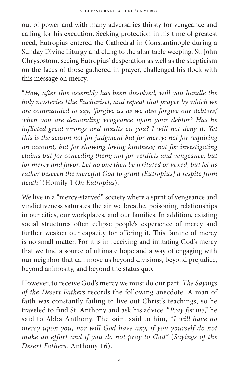out of power and with many adversaries thirsty for vengeance and calling for his execution. Seeking protection in his time of greatest need, Eutropius entered the Cathedral in Constantinople during a Sunday Divine Liturgy and clung to the altar table weeping. St. John Chrysostom, seeing Eutropius' desperation as well as the skepticism on the faces of those gathered in prayer, challenged his flock with this message on mercy:

"*How, after this assembly has been dissolved, will you handle the holy mysteries [the Eucharist], and repeat that prayer by which we are commanded to say, 'forgive us as we also forgive our debtors,' when you are demanding vengeance upon your debtor? Has he inflicted great wrongs and insults on you? I will not deny it. Yet this is the season not for judgment but for mercy; not for requiring an account, but for showing loving kindness; not for investigating claims but for conceding them; not for verdicts and vengeance, but for mercy and favor. Let no one then be irritated or vexed, but let us rather beseech the merciful God to grant [Eutropius] a respite from death"* (Homily 1 *On Eutropius*).

We live in a "mercy-starved" society where a spirit of vengeance and vindictiveness saturates the air we breathe, poisoning relationships in our cities, our workplaces, and our families. In addition, existing social structures often eclipse people's experience of mercy and further weaken our capacity for offering it. This famine of mercy is no small matter. For it is in receiving and imitating God's mercy that we find a source of ultimate hope and a way of engaging with our neighbor that can move us beyond divisions, beyond prejudice, beyond animosity, and beyond the status quo.

However, to receive God's mercy we must do our part. *The Sayings of the Desert Fathers* records the following anecdote: A man of faith was constantly failing to live out Christ's teachings, so he traveled to find St. Anthony and ask his advice. "*Pray for me*," he said to Abba Anthony. The saint said to him, "*I will have no mercy upon you, nor will God have any, if you yourself do not make an effort and if you do not pray to God"* (*Sayings of the Desert Fathers,* Anthony 16).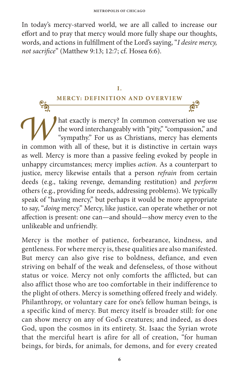In today's mercy-starved world, we are all called to increase our effort and to pray that mercy would more fully shape our thoughts, words, and actions in fulfillment of the Lord's saying, "*I desire mercy, not sacrifice*" (Matthew 9:13; 12:7; cf. Hosea 6:6).

#### **I . MERCY: DEFINITION AND OVERVIEW**

**Mateurity** is mercy? In common conversation we use the word interchangeably with "pity," "compassion," and "sympathy." For us as Christians, mercy has elements in common with all of these, but it is distinctive in certain the word interchangeably with "pity," "compassion," and "sympathy." For us as Christians, mercy has elements in common with all of these, but it is distinctive in certain ways as well. Mercy is more than a passive feeling evoked by people in unhappy circumstances; mercy implies *action*. As a counterpart to justice, mercy likewise entails that a person *refrain* from certain deeds (e.g., taking revenge, demanding restitution) and *perform* others (e.g., providing for needs, addressing problems). We typically speak of "having mercy," but perhaps it would be more appropriate to say, "*doing* mercy." Mercy, like justice, can operate whether or not affection is present: one can—and should—show mercy even to the unlikeable and unfriendly.

Mercy is the mother of patience, forbearance, kindness, and gentleness. For where mercy is, these qualities are also manifested. But mercy can also give rise to boldness, defiance, and even striving on behalf of the weak and defenseless, of those without status or voice. Mercy not only comforts the afflicted, but can also afflict those who are too comfortable in their indifference to the plight of others. Mercy is something offered freely and widely. Philanthropy, or voluntary care for one's fellow human beings, is a specific kind of mercy. But mercy itself is broader still: for one can show mercy on any of God's creatures; and indeed, as does God, upon the cosmos in its entirety. St. Isaac the Syrian wrote that the merciful heart is afire for all of creation, "for human beings, for birds, for animals, for demons, and for every created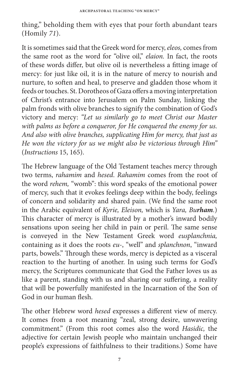thing," beholding them with eyes that pour forth abundant tears (Homily *71*).

It is sometimes said that the Greek word for mercy, *eleos,* comes from the same root as the word for "olive oil," *elaion.* In fact, the roots of these words differ, but olive oil is nevertheless a fitting image of mercy: for just like oil, it is in the nature of mercy to nourish and nurture, to soften and heal, to preserve and gladden those whom it feeds or touches. St. Dorotheos of Gaza offers a moving interpretation of Christ's entrance into Jerusalem on Palm Sunday, linking the palm fronds with olive branches to signify the combination of God's victory and mercy: *"Let us similarly go to meet Christ our Master with palms as before a conqueror, for He conquered the enemy for us. And also with olive branches, supplicating Him for mercy, that just as He won the victory for us we might also be victorious through Him"* (*Instructions* 15, 165).

The Hebrew language of the Old Testament teaches mercy through two terms, *rahamim* and *hesed*. *Rahamim* comes from the root of the word *rehem,* "womb": this word speaks of the emotional power of mercy, such that it evokes feelings deep within the body, feelings of concern and solidarity and shared pain. (We find the same root in the Arabic equivalent of *Kyrie, Eleison,* which is *Yara, Burham.*) This character of mercy is illustrated by a mother's inward bodily sensations upon seeing her child in pain or peril. The same sense is conveyed in the New Testament Greek word *eusplanchnia,*  containing as it does the roots *eu-*, "well" and *splanchnon*, "inward parts, bowels." Through these words, mercy is depicted as a visceral reaction to the hurting of another. In using such terms for God's mercy, the Scriptures communicate that God the Father loves us as like a parent, standing with us and sharing our suffering, a reality that will be powerfully manifested in the Incarnation of the Son of God in our human flesh.

The other Hebrew word *hesed* expresses a different view of mercy. It comes from a root meaning "zeal, strong desire, unwavering commitment." (From this root comes also the word *Hasidic,* the adjective for certain Jewish people who maintain unchanged their people's expressions of faithfulness to their traditions.) Some have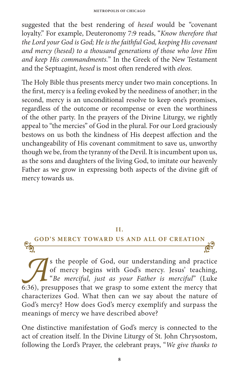suggested that the best rendering of *hesed* would be "covenant loyalty." For example, Deuteronomy 7:9 reads, "*Know therefore that the Lord your God is God; He is the faithful God, keeping His covenant and mercy (hesed) to a thousand generations of those who love Him and keep His commandments.*" In the Greek of the New Testament and the Septuagint, *hesed* is most often rendered with *eleos.*

The Holy Bible thus presents mercy under two main conceptions. In the first, mercy is a feeling evoked by the neediness of another; in the second, mercy is an unconditional resolve to keep one's promises, regardless of the outcome or recompense or even the worthiness of the other party. In the prayers of the Divine Liturgy, we rightly appeal to "the mercies" of God in the plural. For our Lord graciously bestows on us both the kindness of His deepest affection and the unchangeability of His covenant commitment to save us, unworthy though we be, from the tyranny of the Devil. It is incumbent upon us, as the sons and daughters of the living God, to imitate our heavenly Father as we grow in expressing both aspects of the divine gift of mercy towards us.

#### **II.**

# **GOD'S MERCY TOWARD US AND ALL OF CREATION**

*As* the people of God, our understanding and practice of mercy begins with God's mercy. Jesus' teaching, "Be merciful, just as your Father is merciful" (Luke 6:36), presupposes that we grasp to some extent the mercy that of mercy begins with God's mercy. Jesus' teaching, "*Be merciful, just as your Father is merciful*" (Luke 6:36), presupposes that we grasp to some extent the mercy that characterizes God. What then can we say about the nature of God's mercy? How does God's mercy exemplify and surpass the meanings of mercy we have described above?

One distinctive manifestation of God's mercy is connected to the act of creation itself. In the Divine Liturgy of St. John Chrysostom, following the Lord's Prayer, the celebrant prays, "*We give thanks to*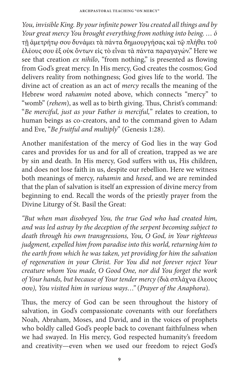*You, invisible King. By your infinite power You created all things and by Your great mercy You brought everything from nothing into being. … ὁ*  τῇ ἀμετρήτῳ σου δυνάμει τὰ *π*άντα δημιουργήσας καὶ τῷ *π*λήθει τοῦ ἐλέους σου ἐξ οὐκ ὄντων εἰς τὸ εἶναι τὰ *π*άντα παραγαγών." Here we see that creation *ex nihilo*, "from nothing," is presented as flowing from God's great mercy. In His mercy, God creates the cosmos; God delivers reality from nothingness; God gives life to the world. The divine act of creation as an act of *mercy* recalls the meaning of the Hebrew word *rahamim* noted above, which connects "mercy" to "womb" (*rehem*), as well as to birth giving. Thus, Christ's command: "*Be merciful, just as your Father is merciful,*" relates to creation, to human beings as co-creators, and to the command given to Adam and Eve, "*Be fruitful and multiply*" (Genesis 1:28).

Another manifestation of the mercy of God lies in the way God cares and provides for us and for all of creation, trapped as we are by sin and death. In His mercy, God suffers with us, His children, and does not lose faith in us, despite our rebellion. Here we witness both meanings of mercy, *rahamin* and *hesed*, and we are reminded that the plan of salvation is itself an expression of divine mercy from beginning to end. Recall the words of the priestly prayer from the Divine Liturgy of St. Basil the Great:

*"But when man disobeyed You, the true God who had created him, and was led astray by the deception of the serpent becoming subject to death through his own transgressions, You, O God, in Your righteous judgment, expelled him from paradise into this world, returning him to the earth from which he was taken, yet providing for him the salvation of regeneration in your Christ. For You did not forever reject Your creature whom You made, O Good One, nor did You forget the work of Your hands, but because of Your tender mercy (*διὰ σπλάχνα ἐλεους σου*), You visited him in various ways…"* (*Prayer of the Anaphora*).

Thus, the mercy of God can be seen throughout the history of salvation, in God's compassionate covenants with our forefathers Noah, Abraham, Moses, and David, and in the voices of prophets who boldly called God's people back to covenant faithfulness when we had swayed. In His mercy, God respected humanity's freedom and creativity—even when we used our freedom to reject God's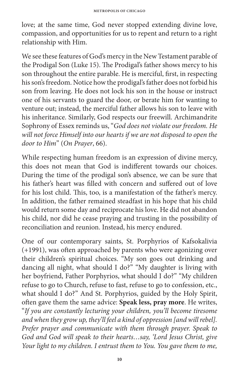love; at the same time, God never stopped extending divine love, compassion, and opportunities for us to repent and return to a right relationship with Him.

We see these features of God's mercy in the New Testament parable of the Prodigal Son (Luke 15). The Prodigal's father shows mercy to his son throughout the entire parable. He is merciful, first, in respecting his son's freedom. Notice how the prodigal's father does not forbid his son from leaving. He does not lock his son in the house or instruct one of his servants to guard the door, or berate him for wanting to venture out; instead, the merciful father allows his son to leave with his inheritance. Similarly, God respects our freewill. Archimandrite Sophrony of Essex reminds us, "*God does not violate our freedom. He will not force Himself into our hearts if we are not disposed to open the door to Him*" (*On Prayer*, 66).

While respecting human freedom is an expression of divine mercy, this does not mean that God is indifferent towards our choices. During the time of the prodigal son's absence, we can be sure that his father's heart was filled with concern and suffered out of love for his lost child. This, too, is a manifestation of the father's mercy. In addition, the father remained steadfast in his hope that his child would return some day and reciprocate his love. He did not abandon his child, nor did he cease praying and trusting in the possibility of reconciliation and reunion. Instead, his mercy endured.

One of our contemporary saints, St. Porphyrios of Kafsokalivia (+1991), was often approached by parents who were agonizing over their children's spiritual choices. "My son goes out drinking and dancing all night, what should I do?" "My daughter is living with her boyfriend, Father Porphyrios, what should I do?" "My children refuse to go to Church, refuse to fast, refuse to go to confession, etc., what should I do?" And St. Porphyrios, guided by the Holy Spirit, often gave them the same advice: **Speak less, pray more**. He writes, "*If you are constantly lecturing your children, you'll become tiresome and when they grow up, they'll feel a kind of oppression [and will rebel]. Prefer prayer and communicate with them through prayer. Speak to God and God will speak to their hearts…say, 'Lord Jesus Christ, give Your light to my children. I entrust them to You. You gave them to me,*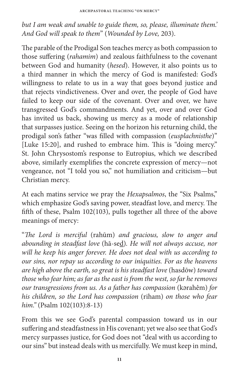*but I am weak and unable to guide them, so, please, illuminate them.' And God will speak to them*" (*Wounded by Love,* 203).

The parable of the Prodigal Son teaches mercy as both compassion to those suffering (*rahamim*) and zealous faithfulness to the covenant between God and humanity (*hesed*). However, it also points us to a third manner in which the mercy of God is manifested: God's willingness to relate to us in a way that goes beyond justice and that rejects vindictiveness. Over and over, the people of God have failed to keep our side of the covenant. Over and over, we have transgressed God's commandments. And yet, over and over God has invited us back, showing us mercy as a mode of relationship that surpasses justice. Seeing on the horizon his returning child, the prodigal son's father "was filled with compassion (*eusplachnisthe*)" [Luke 15:20], and rushed to embrace him. This is "doing mercy." St. John Chrysostom's response to Eutropius, which we described above, similarly exemplifies the concrete expression of mercy—not vengeance, not "I told you so," not humiliation and criticism—but Christian mercy.

At each matins service we pray the *Hexapsalmos*, the "Six Psalms," which emphasize God's saving power, steadfast love, and mercy. The fifth of these, Psalm 102(103), pulls together all three of the above meanings of mercy:

"*The Lord is merciful* (rahūm) *and gracious, slow to anger and abounding in steadfast love* (hā-sed)*. He will not always accuse, nor will he keep his anger forever. He does not deal with us according to our sins, nor repay us according to our iniquities. For as the heavens are high above the earth, so great is his steadfast love* (hasdōw) *toward those who fear him; as far as the east is from the west, so far he removes our transgressions from us. As a father has compassion* (kərahêm) *for his children, so the Lord has compassion* (riham) *on those who fear him."* (Psalm 102(103):8-13)

From this we see God's parental compassion toward us in our suffering and steadfastness in His covenant; yet we also see that God's mercy surpasses justice, for God does not "deal with us according to our sins" but instead deals with us mercifully. We must keep in mind,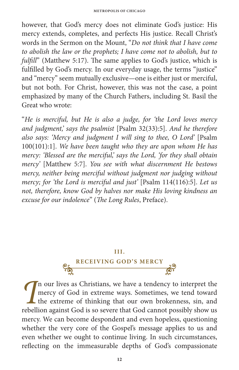however, that God's mercy does not eliminate God's justice: His mercy extends, completes, and perfects His justice. Recall Christ's words in the Sermon on the Mount, "*Do not think that I have come to abolish the law or the prophets; I have come not to abolish, but to fulfill*" (Matthew 5:17). The same applies to God's justice, which is fulfilled by God's mercy. In our everyday usage, the terms "justice" and "mercy" seem mutually exclusive—one is either just or merciful, but not both. For Christ, however, this was not the case, a point emphasized by many of the Church Fathers, including St. Basil the Great who wrote:

"*He is merciful, but He is also a judge, for 'the Lord loves mercy and judgment,' says the psalmist* [Psalm 32(33):5]. *And he therefore also says: 'Mercy and judgment I will sing to thee, O Lord'* [Psalm 100(101):1]. *We have been taught who they are upon whom He has mercy: 'Blessed are the merciful,' says the Lord, 'for they shall obtain mercy'* [Matthew 5:7]. *You see with what discernment He bestows mercy, neither being merciful without judgment nor judging without mercy; for 'the Lord is merciful and just'* [Psalm 114(116):5]. *Let us not, therefore, know God by halves nor make His loving kindness an excuse for our indolence*" (*The Long Rules*, Preface).



II n our lives as Christians, we have a tendency to interpret the mercy of God in extreme ways. Sometimes, we tend toward the extreme of thinking that our own brokenness, sin, and rebellion against God is so severe that Go n our lives as Christians, we have a tendency to interpret the mercy of God in extreme ways. Sometimes, we tend toward the extreme of thinking that our own brokenness, sin, and mercy. We can become despondent and even hopeless, questioning whether the very core of the Gospel's message applies to us and even whether we ought to continue living. In such circumstances, reflecting on the immeasurable depths of God's compassionate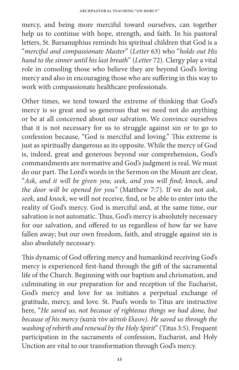mercy, and being more merciful toward ourselves, can together help us to continue with hope, strength, and faith. In his pastoral letters, St. Barsanuphius reminds his spiritual children that God is a "*merciful and compassionate Master*" (*Letter* 63) who "*holds out His hand to the sinner until his last breath*" (*Letter* 72). Clergy play a vital role in consoling those who believe they are beyond God's loving mercy and also in encouraging those who are suffering in this way to work with compassionate healthcare professionals.

Other times, we tend toward the extreme of thinking that God's mercy is so great and so generous that we need not do anything or be at all concerned about our salvation. We convince ourselves that it is not necessary for us to struggle against sin or to go to confession because, "God is merciful and loving." This extreme is just as spiritually dangerous as its opposite. While the mercy of God is, indeed, great and generous beyond our comprehension, God's commandments are normative and God's judgment is real. We must do our part. The Lord's words in the Sermon on the Mount are clear, "*Ask, and it will be given you; seek, and you will find; knock, and the door will be opened for you"* (Matthew 7:7). If we do not *ask*, *seek*, and *knock*, we will not receive, find, or be able to enter into the reality of God's mercy. God is merciful and, at the same time, our salvation is not automatic. Thus, God's mercy is absolutely necessary for our salvation, and offered to us regardless of how far we have fallen away; but our own freedom, faith, and struggle against sin is also absolutely necessary.

This dynamic of God offering mercy and humankind receiving God's mercy is experienced first-hand through the gift of the sacramental life of the Church. Beginning with our baptism and chrismation, and culminating in our preparation for and reception of the Eucharist, God's mercy and love for us initiates a perpetual exchange of gratitude, mercy, and love. St. Paul's words to Titus are instructive here, "*He saved us, not because of righteous things we had done, but because of his mercy (*κατὰ τὸν αὐτοῦ ἔλεον*). He saved us through the washing of rebirth and renewal by the Holy Spirit*" (Titus 3:5). Frequent participation in the sacraments of confession, Eucharist, and Holy Unction are vital to our transformation through God's mercy.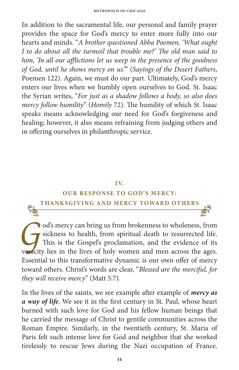In addition to the sacramental life, our personal and family prayer provides the space for God's mercy to enter more fully into our hearts and minds. "*A brother questioned Abba Poemen, 'What ought I to do about all the turmoil that trouble me?' The old man said to him, 'In all our afflictions let us weep in the presence of the goodness of God, until he shows mercy on us.'*" (*Sayings of the Desert Fathers*, Poemen 122). Again, we must do our part. Ultimately, God's mercy enters our lives when we humbly open ourselves to God. St. Isaac the Syrian writes, "*For just as a shadow follows a body, so also does mercy follow humility*" (*Homily* 72). The humility of which St. Isaac speaks means acknowledging our need for God's forgiveness and healing; however, it also means refraining from judging others and in offering ourselves in philanthropic service.

#### **I V.**

### **OUR RESPONSE TO GOD'S MERCY:**

# THANKSGIVING AND MERCY TOWARD OTHERS

**G**od's mercy can bring us from brokenness to wholeness, from sickness to health, from spiritual death to resurrected life.<br>This is the Gospel's proclamation, and the evidence of its veracity lies in the lives of holy wome sickness to health, from spiritual death to resurrected life. This is the Gospel's proclamation, and the evidence of its veracity lies in the lives of holy women and men across the ages. Essential to this transformative dynamic is our own offer of mercy toward others. Christ's words are clear, "*Blessed are the merciful, for they will receive mercy*" (Matt 5:7).

In the lives of the saints, we see example after example of *mercy as a way of life*. We see it in the first century in St. Paul, whose heart burned with such love for God and his fellow human beings that he carried the message of Christ to gentile communities across the Roman Empire. Similarly, in the twentieth century, St. Maria of Paris felt such intense love for God and neighbor that she worked tirelessly to rescue Jews during the Nazi occupation of France.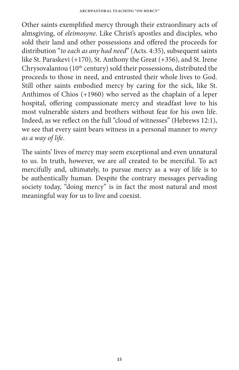Other saints exemplified mercy through their extraordinary acts of almsgiving, of *eleimosyne*. Like Christ's apostles and disciples, who sold their land and other possessions and offered the proceeds for distribution "*to each as any had need*" (Acts. 4:35), subsequent saints like St. Paraskevi (+170), St. Anthony the Great (+356), and St. Irene Chrysovalantou (10<sup>th</sup> century) sold their possessions, distributed the proceeds to those in need, and entrusted their whole lives to God. Still other saints embodied mercy by caring for the sick, like St. Anthimos of Chios (+1960) who served as the chaplain of a leper hospital, offering compassionate mercy and steadfast love to his most vulnerable sisters and brothers without fear for his own life. Indeed, as we reflect on the full "cloud of witnesses" (Hebrews 12:1), we see that every saint bears witness in a personal manner to *mercy as a way of life*.

The saints' lives of mercy may seem exceptional and even unnatural to us. In truth, however, we are *all* created to be merciful. To act mercifully and, ultimately, to pursue mercy as a way of life is to be authentically human. Despite the contrary messages pervading society today, "doing mercy" is in fact the most natural and most meaningful way for us to live and coexist.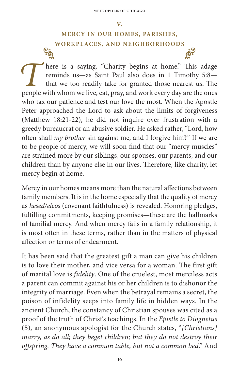#### **METROPOLIS OF CHICAGO**

#### **V.**

# **MERCY IN OUR HOMES, PARISHES, WORKPLACES, AND NEIGHBORHOODS**

There is a saying, "Charity begins at home." This adage reminds us—as Saint Paul also does in 1 Timothy 5:8—<br>that we too readily take for granted those nearest us. The people with whom we live, eat, pray, and work every da reminds us—as Saint Paul also does in 1 Timothy 5:8 that we too readily take for granted those nearest us. The people with whom we live, eat, pray, and work every day are the ones who tax our patience and test our love the most. When the Apostle Peter approached the Lord to ask about the limits of forgiveness (Matthew 18:21-22), he did not inquire over frustration with a greedy bureaucrat or an abusive soldier. He asked rather, "Lord, how often shall *my brother* sin against me, and I forgive him?" If we are to be people of mercy, we will soon find that our "mercy muscles" are strained more by our siblings, our spouses, our parents, and our children than by anyone else in our lives. Therefore, like charity, let mercy begin at home.

Mercy in our homes means more than the natural affections between family members. It is in the home especially that the quality of mercy as *hesed/eleos* (covenant faithfulness) is revealed. Honoring pledges, fulfilling commitments, keeping promises—these are the hallmarks of familial mercy. And when mercy fails in a family relationship, it is most often in these terms, rather than in the matters of physical affection or terms of endearment.

It has been said that the greatest gift a man can give his children is to love their mother, and vice versa for a woman. The first gift of marital love is *fidelity*. One of the cruelest, most merciless acts a parent can commit against his or her children is to dishonor the integrity of marriage. Even when the betrayal remains a secret, the poison of infidelity seeps into family life in hidden ways. In the ancient Church, the constancy of Christian spouses was cited as a proof of the truth of Christ's teachings. In the *Epistle to Diognetus*  (5)*,* an anonymous apologist for the Church states, "*[Christians] marry, as do all; they beget children; but they do not destroy their offspring. They have a common table, but not a common bed*." And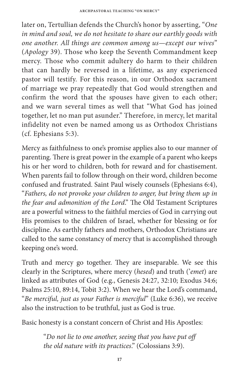later on, Tertullian defends the Church's honor by asserting, "*One in mind and soul, we do not hesitate to share our earthly goods with one another. All things are common among us—except our wives*" (*Apology* 39). Those who keep the Seventh Commandment keep mercy. Those who commit adultery do harm to their children that can hardly be reversed in a lifetime, as any experienced pastor will testify. For this reason, in our Orthodox sacrament of marriage we pray repeatedly that God would strengthen and confirm the word that the spouses have given to each other; and we warn several times as well that "What God has joined together, let no man put asunder." Therefore, in mercy, let marital infidelity not even be named among us as Orthodox Christians (cf. Ephesians 5:3).

Mercy as faithfulness to one's promise applies also to our manner of parenting. There is great power in the example of a parent who keeps his or her word to children, both for reward and for chastisement. When parents fail to follow through on their word, children become confused and frustrated. Saint Paul wisely counsels (Ephesians 6:4), "*Fathers, do not provoke your children to anger, but bring them up in the fear and admonition of the Lord*." The Old Testament Scriptures are a powerful witness to the faithful mercies of God in carrying out His promises to the children of Israel, whether for blessing or for discipline. As earthly fathers and mothers, Orthodox Christians are called to the same constancy of mercy that is accomplished through keeping one's word.

Truth and mercy go together. They are inseparable. We see this clearly in the Scriptures, where mercy (*hesed*) and truth ('*emet*) are linked as attributes of God (e.g., Genesis 24:27, 32:10; Exodus 34:6; Psalms 25:10, 89:14, Tobit 3:2). When we hear the Lord's command, "*Be merciful, just as your Father is merciful*" (Luke 6:36), we receive also the instruction to be truthful, just as God is true.

Basic honesty is a constant concern of Christ and His Apostles:

"*Do not lie to one another, seeing that you have put off the old nature with its practices*." (Colossians 3:9).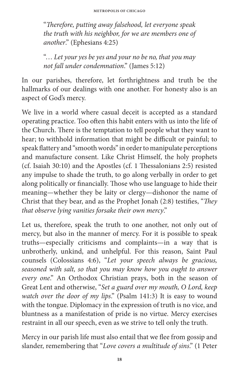"*Therefore, putting away falsehood, let everyone speak the truth with his neighbor, for we are members one of another*." (Ephesians 4:25)

"… *Let your yes be yes and your no be no, that you may not fall under condemnation*." (James 5:12)

In our parishes, therefore, let forthrightness and truth be the hallmarks of our dealings with one another. For honesty also is an aspect of God's mercy.

We live in a world where casual deceit is accepted as a standard operating practice. Too often this habit enters with us into the life of the Church. There is the temptation to tell people what they want to hear; to withhold information that might be difficult or painful; to speak flattery and "smooth words" in order to manipulate perceptions and manufacture consent. Like Christ Himself, the holy prophets (cf. Isaiah 30:10) and the Apostles (cf. 1 Thessalonians 2:5) resisted any impulse to shade the truth, to go along verbally in order to get along politically or financially. Those who use language to hide their meaning—whether they be laity or clergy—dishonor the name of Christ that they bear, and as the Prophet Jonah (2:8) testifies, "*They that observe lying vanities forsake their own mercy*."

Let us, therefore, speak the truth to one another, not only out of mercy, but also in the manner of mercy. For it is possible to speak truths—especially criticisms and complaints—in a way that is unbrotherly, unkind, and unhelpful. For this reason, Saint Paul counsels (Colossians 4:6), "*Let your speech always be gracious, seasoned with salt, so that you may know how you ought to answer every one*." An Orthodox Christian prays, both in the season of Great Lent and otherwise, "*Set a guard over my mouth, O Lord, keep watch over the door of my lips*." (Psalm 141:3) It is easy to wound with the tongue. Diplomacy in the expression of truth is no vice, and bluntness as a manifestation of pride is no virtue. Mercy exercises restraint in all our speech, even as we strive to tell only the truth.

Mercy in our parish life must also entail that we flee from gossip and slander, remembering that "*Love covers a multitude of sins*." (1 Peter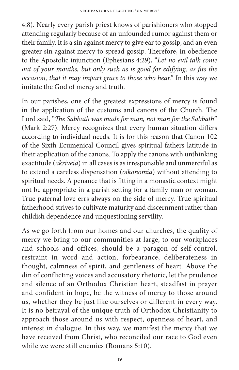4:8). Nearly every parish priest knows of parishioners who stopped attending regularly because of an unfounded rumor against them or their family. It is a sin against mercy to give ear to gossip, and an even greater sin against mercy to spread gossip. Therefore, in obedience to the Apostolic injunction (Ephesians 4:29), "*Let no evil talk come out of your mouths, but only such as is good for edifying, as fits the occasion, that it may impart grace to those who hear*." In this way we imitate the God of mercy and truth.

In our parishes, one of the greatest expressions of mercy is found in the application of the customs and canons of the Church. The Lord said, "*The Sabbath was made for man, not man for the Sabbath*" (Mark 2:27). Mercy recognizes that every human situation differs according to individual needs. It is for this reason that Canon 102 of the Sixth Ecumenical Council gives spiritual fathers latitude in their application of the canons. To apply the canons with unthinking exactitude (*akriveia*) in all cases is as irresponsible and unmerciful as to extend a careless dispensation (*oikonomia*) without attending to spiritual needs. A penance that is fitting in a monastic context might not be appropriate in a parish setting for a family man or woman. True paternal love errs always on the side of mercy. True spiritual fatherhood strives to cultivate maturity and discernment rather than childish dependence and unquestioning servility.

As we go forth from our homes and our churches, the quality of mercy we bring to our communities at large, to our workplaces and schools and offices, should be a paragon of self-control, restraint in word and action, forbearance, deliberateness in thought, calmness of spirit, and gentleness of heart. Above the din of conflicting voices and accusatory rhetoric, let the prudence and silence of an Orthodox Christian heart, steadfast in prayer and confident in hope, be the witness of mercy to those around us, whether they be just like ourselves or different in every way. It is no betrayal of the unique truth of Orthodox Christianity to approach those around us with respect, openness of heart, and interest in dialogue. In this way, we manifest the mercy that we have received from Christ, who reconciled our race to God even while we were still enemies (Romans 5:10).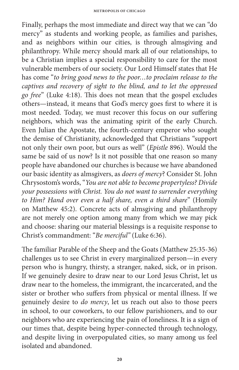#### **METROPOLIS OF CHICAGO**

Finally, perhaps the most immediate and direct way that we can "do mercy" as students and working people, as families and parishes, and as neighbors within our cities, is through almsgiving and philanthropy. While mercy should mark all of our relationships, to be a Christian implies a special responsibility to care for the most vulnerable members of our society. Our Lord Himself states that He has come "*to bring good news to the poor…to proclaim release to the captives and recovery of sight to the blind, and to let the oppressed go free*" (Luke 4:18). This does not mean that the gospel excludes others—instead, it means that God's mercy goes first to where it is most needed. Today, we must recover this focus on our suffering neighbors, which was the animating spirit of the early Church. Even Julian the Apostate, the fourth-century emperor who sought the demise of Christianity, acknowledged that Christians "support not only their own poor, but ours as well" (*Epistle* 896). Would the same be said of us now? Is it not possible that one reason so many people have abandoned our churches is because we have abandoned our basic identity as almsgivers, as *doers of mercy*? Consider St. John Chrysostom's words, "*You are not able to become propertyless? Divide your possessions with Christ. You do not want to surrender everything to Him? Hand over even a half share, even a third share*" (Homily on Matthew 45:2). Concrete acts of almsgiving and philanthropy are not merely one option among many from which we may pick and choose: sharing our material blessings is a requisite response to Christ's commandment: "*Be merciful"* (Luke 6:36).

The familiar Parable of the Sheep and the Goats (Matthew 25:35-36) challenges us to see Christ in every marginalized person—in every person who is hungry, thirsty, a stranger, naked, sick, or in prison. If we genuinely desire to draw near to our Lord Jesus Christ, let us draw near to the homeless, the immigrant, the incarcerated, and the sister or brother who suffers from physical or mental illness. If we genuinely desire to *do mercy*, let us reach out also to those peers in school, to our coworkers, to our fellow parishioners, and to our neighbors who are experiencing the pain of loneliness. It is a sign of our times that, despite being hyper-connected through technology, and despite living in overpopulated cities, so many among us feel isolated and abandoned.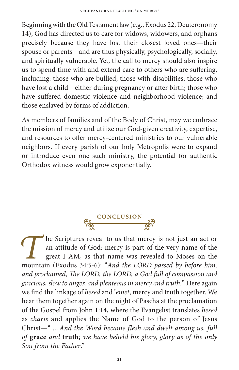Beginning with the Old Testament law (e.g., Exodus 22, Deuteronomy 14), God has directed us to care for widows, widowers, and orphans precisely because they have lost their closest loved ones—their spouse or parents—and are thus physically, psychologically, socially, and spiritually vulnerable. Yet, the call to mercy should also inspire us to spend time with and extend care to others who are suffering, including: those who are bullied; those with disabilities; those who have lost a child—either during pregnancy or after birth; those who have suffered domestic violence and neighborhood violence; and those enslaved by forms of addiction.

As members of families and of the Body of Christ, may we embrace the mission of mercy and utilize our God-given creativity, expertise, and resources to offer mercy-centered ministries to our vulnerable neighbors. If every parish of our holy Metropolis were to expand or introduce even one such ministry, the potential for authentic Orthodox witness would grow exponentially.



The Scriptures reveal to us that mercy is not just an act or<br>an attitude of God: mercy is part of the very name of the<br>great I AM, as that name was revealed to Moses on the<br>mountain (Exodus 34:5-6): "*And the LORD passed b* an attitude of God: mercy is part of the very name of the great I AM, as that name was revealed to Moses on the mountain (Exodus 34:5-6): "*And the LORD passed by before him, and proclaimed, The LORD, the LORD, a God full of compassion and gracious, slow to anger, and plenteous in mercy and truth.*" Here again we find the linkage of *hesed* and '*emet*, mercy and truth together. We hear them together again on the night of Pascha at the proclamation of the Gospel from John 1:14, where the Evangelist translates *hesed*  as *charis* and applies the Name of God to the person of Jesus Christ—" *…And the Word became flesh and dwelt among us, full of* **grace** *and* **truth***; we have beheld his glory, glory as of the only Son from the Father*."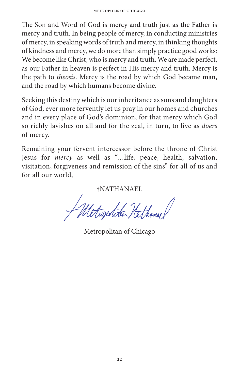The Son and Word of God is mercy and truth just as the Father is mercy and truth. In being people of mercy, in conducting ministries of mercy, in speaking words of truth and mercy, in thinking thoughts of kindness and mercy, we do more than simply practice good works: We become like Christ, who is mercy and truth. We are made perfect, as our Father in heaven is perfect in His mercy and truth. Mercy is the path to *theosis*. Mercy is the road by which God became man, and the road by which humans become divine.

Seeking this destiny which is our inheritance as sons and daughters of God, ever more fervently let us pray in our homes and churches and in every place of God's dominion, for that mercy which God so richly lavishes on all and for the zeal, in turn, to live as *doers* of mercy.

Remaining your fervent intercessor before the throne of Christ Jesus for *mercy* as well as "…life, peace, health, salvation, visitation, forgiveness and remission of the sins" for all of us and for all our world,

†NATHANAEL

Metropolitan of Chicago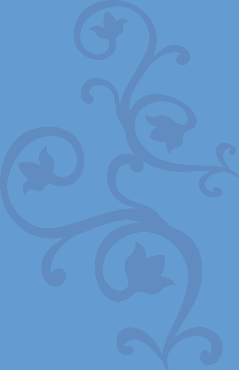